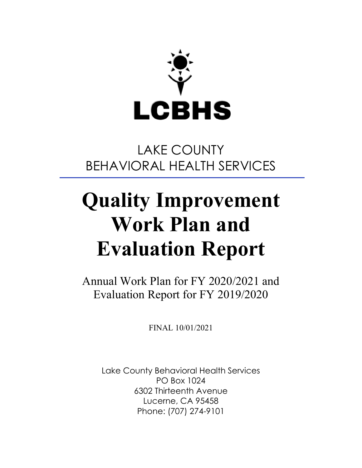

# LAKE COUNTY BEHAVIORAL HEALTH SERVICES

# **Quality Improvement Work Plan and Evaluation Report**

Annual Work Plan for FY 2020/2021 and Evaluation Report for FY 2019/2020

FINAL 10/01/2021

Lake County Behavioral Health Services PO Box 1024 6302 Thirteenth Avenue Lucerne, CA 95458 Phone: (707) 274-9101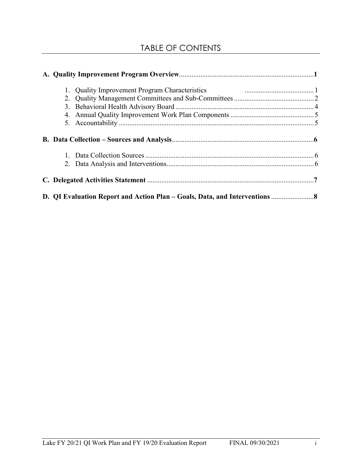# TABLE OF CONTENTS

| 1. Quality Improvement Program Characteristics <b>Example 2.1 August 2.1</b> Cuality Improvement Program Characteristics |  |
|--------------------------------------------------------------------------------------------------------------------------|--|
|                                                                                                                          |  |
|                                                                                                                          |  |
|                                                                                                                          |  |
|                                                                                                                          |  |
|                                                                                                                          |  |
|                                                                                                                          |  |
|                                                                                                                          |  |
|                                                                                                                          |  |
|                                                                                                                          |  |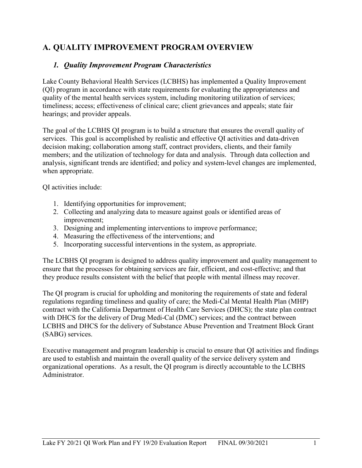### **A. QUALITY IMPROVEMENT PROGRAM OVERVIEW**

#### *1. Quality Improvement Program Characteristics*

Lake County Behavioral Health Services (LCBHS) has implemented a Quality Improvement (QI) program in accordance with state requirements for evaluating the appropriateness and quality of the mental health services system, including monitoring utilization of services; timeliness; access; effectiveness of clinical care; client grievances and appeals; state fair hearings; and provider appeals.

The goal of the LCBHS QI program is to build a structure that ensures the overall quality of services. This goal is accomplished by realistic and effective QI activities and data-driven decision making; collaboration among staff, contract providers, clients, and their family members; and the utilization of technology for data and analysis. Through data collection and analysis, significant trends are identified; and policy and system-level changes are implemented, when appropriate.

QI activities include:

- 1. Identifying opportunities for improvement;
- 2. Collecting and analyzing data to measure against goals or identified areas of improvement;
- 3. Designing and implementing interventions to improve performance;
- 4. Measuring the effectiveness of the interventions; and
- 5. Incorporating successful interventions in the system, as appropriate.

The LCBHS QI program is designed to address quality improvement and quality management to ensure that the processes for obtaining services are fair, efficient, and cost-effective; and that they produce results consistent with the belief that people with mental illness may recover.

The QI program is crucial for upholding and monitoring the requirements of state and federal regulations regarding timeliness and quality of care; the Medi-Cal Mental Health Plan (MHP) contract with the California Department of Health Care Services (DHCS); the state plan contract with DHCS for the delivery of Drug Medi-Cal (DMC) services; and the contract between LCBHS and DHCS for the delivery of Substance Abuse Prevention and Treatment Block Grant (SABG) services.

Executive management and program leadership is crucial to ensure that QI activities and findings are used to establish and maintain the overall quality of the service delivery system and organizational operations. As a result, the QI program is directly accountable to the LCBHS Administrator.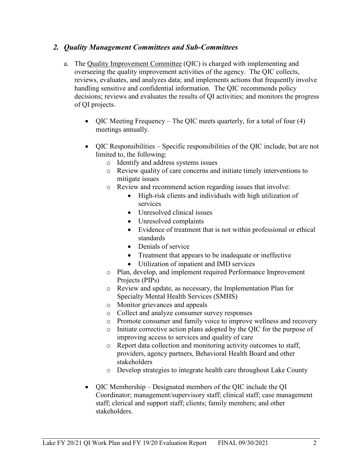#### *2. Quality Management Committees and Sub-Committees*

- a. The Quality Improvement Committee (QIC) is charged with implementing and overseeing the quality improvement activities of the agency. The QIC collects, reviews, evaluates, and analyzes data; and implements actions that frequently involve handling sensitive and confidential information. The QIC recommends policy decisions; reviews and evaluates the results of QI activities; and monitors the progress of QI projects.
	- QIC Meeting Frequency The QIC meets quarterly, for a total of four (4) meetings annually.
	- QIC Responsibilities Specific responsibilities of the QIC include, but are not limited to, the following:
		- o Identify and address systems issues
		- o Review quality of care concerns and initiate timely interventions to mitigate issues
		- o Review and recommend action regarding issues that involve:
			- High-risk clients and individuals with high utilization of services
			- Unresolved clinical issues
			- Unresolved complaints
			- Evidence of treatment that is not within professional or ethical standards
			- Denials of service
			- Treatment that appears to be inadequate or ineffective
			- Utilization of inpatient and IMD services
		- o Plan, develop, and implement required Performance Improvement Projects (PIPs)
		- o Review and update, as necessary, the Implementation Plan for Specialty Mental Health Services (SMHS)
		- o Monitor grievances and appeals
		- o Collect and analyze consumer survey responses
		- o Promote consumer and family voice to improve wellness and recovery
		- o Initiate corrective action plans adopted by the QIC for the purpose of improving access to services and quality of care
		- o Report data collection and monitoring activity outcomes to staff, providers, agency partners, Behavioral Health Board and other stakeholders
		- o Develop strategies to integrate health care throughout Lake County
	- QIC Membership Designated members of the QIC include the QI Coordinator; management/supervisory staff; clinical staff; case management staff; clerical and support staff; clients; family members; and other stakeholders.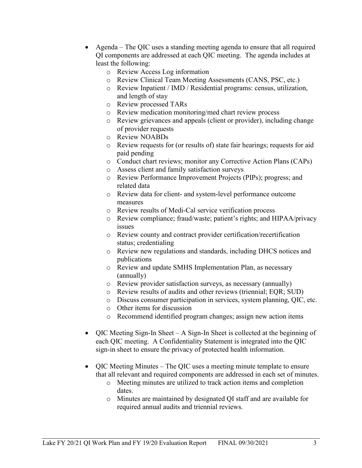- Agenda The QIC uses a standing meeting agenda to ensure that all required QI components are addressed at each QIC meeting. The agenda includes at least the following:
	- o Review Access Log information
	- o Review Clinical Team Meeting Assessments (CANS, PSC, etc.)
	- o Review Inpatient / IMD / Residential programs: census, utilization, and length of stay
	- o Review processed TARs
	- o Review medication monitoring/med chart review process
	- o Review grievances and appeals (client or provider), including change of provider requests
	- o Review NOABDs
	- o Review requests for (or results of) state fair hearings; requests for aid paid pending
	- o Conduct chart reviews; monitor any Corrective Action Plans (CAPs)
	- o Assess client and family satisfaction surveys
	- o Review Performance Improvement Projects (PIPs); progress; and related data
	- o Review data for client- and system-level performance outcome measures
	- o Review results of Medi-Cal service verification process
	- o Review compliance; fraud/waste; patient's rights; and HIPAA/privacy issues
	- o Review county and contract provider certification/recertification status; credentialing
	- o Review new regulations and standards, including DHCS notices and publications
	- o Review and update SMHS Implementation Plan, as necessary (annually)
	- o Review provider satisfaction surveys, as necessary (annually)
	- o Review results of audits and other reviews (triennial; EQR; SUD)
	- o Discuss consumer participation in services, system planning, QIC, etc.
	- o Other items for discussion
	- o Recommend identified program changes; assign new action items
- QIC Meeting Sign-In Sheet A Sign-In Sheet is collected at the beginning of each QIC meeting. A Confidentiality Statement is integrated into the QIC sign-in sheet to ensure the privacy of protected health information.
- QIC Meeting Minutes The QIC uses a meeting minute template to ensure that all relevant and required components are addressed in each set of minutes.
	- o Meeting minutes are utilized to track action items and completion dates.
	- o Minutes are maintained by designated QI staff and are available for required annual audits and triennial reviews.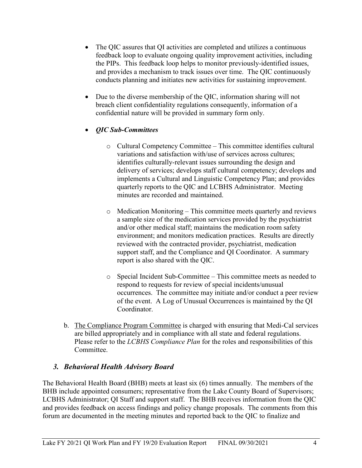- The QIC assures that QI activities are completed and utilizes a continuous feedback loop to evaluate ongoing quality improvement activities, including the PIPs. This feedback loop helps to monitor previously-identified issues, and provides a mechanism to track issues over time. The QIC continuously conducts planning and initiates new activities for sustaining improvement.
- Due to the diverse membership of the QIC, information sharing will not breach client confidentiality regulations consequently, information of a confidential nature will be provided in summary form only.

#### • *QIC Sub-Committees*

- o Cultural Competency Committee This committee identifies cultural variations and satisfaction with/use of services across cultures; identifies culturally-relevant issues surrounding the design and delivery of services; develops staff cultural competency; develops and implements a Cultural and Linguistic Competency Plan; and provides quarterly reports to the QIC and LCBHS Administrator. Meeting minutes are recorded and maintained.
- o Medication Monitoring This committee meets quarterly and reviews a sample size of the medication services provided by the psychiatrist and/or other medical staff; maintains the medication room safety environment; and monitors medication practices. Results are directly reviewed with the contracted provider, psychiatrist, medication support staff, and the Compliance and QI Coordinator. A summary report is also shared with the QIC.
- o Special Incident Sub-Committee This committee meets as needed to respond to requests for review of special incidents/unusual occurrences. The committee may initiate and/or conduct a peer review of the event. A Log of Unusual Occurrences is maintained by the QI Coordinator.
- b. The Compliance Program Committee is charged with ensuring that Medi-Cal services are billed appropriately and in compliance with all state and federal regulations. Please refer to the *LCBHS Compliance Plan* for the roles and responsibilities of this Committee.

#### *3. Behavioral Health Advisory Board*

The Behavioral Health Board (BHB) meets at least six (6) times annually. The members of the BHB include appointed consumers; representative from the Lake County Board of Supervisors; LCBHS Administrator; QI Staff and support staff. The BHB receives information from the QIC and provides feedback on access findings and policy change proposals. The comments from this forum are documented in the meeting minutes and reported back to the QIC to finalize and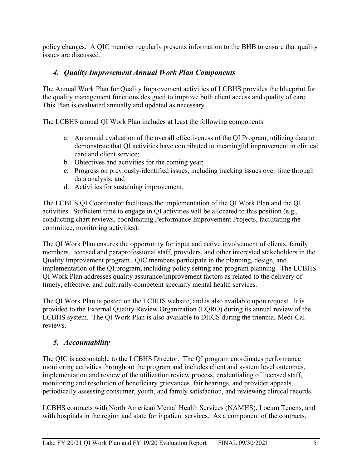policy changes. A QIC member regularly presents information to the BHB to ensure that quality issues are discussed.

#### *4. Quality Improvement Annual Work Plan Components*

The Annual Work Plan for Quality Improvement activities of LCBHS provides the blueprint for the quality management functions designed to improve both client access and quality of care. This Plan is evaluated annually and updated as necessary.

The LCBHS annual QI Work Plan includes at least the following components:

- a. An annual evaluation of the overall effectiveness of the QI Program, utilizing data to demonstrate that QI activities have contributed to meaningful improvement in clinical care and client service;
- b. Objectives and activities for the coming year;
- c. Progress on previously-identified issues, including tracking issues over time through data analysis; and
- d. Activities for sustaining improvement.

The LCBHS QI Coordinator facilitates the implementation of the QI Work Plan and the QI activities. Sufficient time to engage in QI activities will be allocated to this position (e.g., conducting chart reviews, coordinating Performance Improvement Projects, facilitating the committee, monitoring activities).

The QI Work Plan ensures the opportunity for input and active involvement of clients, family members, licensed and paraprofessional staff, providers, and other interested stakeholders in the Quality Improvement program. QIC members participate in the planning, design, and implementation of the QI program, including policy setting and program planning. The LCBHS QI Work Plan addresses quality assurance/improvement factors as related to the delivery of timely, effective, and culturally-competent specialty mental health services.

The QI Work Plan is posted on the LCBHS website, and is also available upon request. It is provided to the External Quality Review Organization (EQRO) during its annual review of the LCBHS system. The QI Work Plan is also available to DHCS during the triennial Medi-Cal reviews.

#### *5. Accountability*

The QIC is accountable to the LCBHS Director. The QI program coordinates performance monitoring activities throughout the program and includes client and system level outcomes, implementation and review of the utilization review process, credentialing of licensed staff, monitoring and resolution of beneficiary grievances, fair hearings, and provider appeals, periodically assessing consumer, youth, and family satisfaction, and reviewing clinical records.

LCBHS contracts with North American Mental Health Services (NAMHS), Locum Tenens, and with hospitals in the region and state for inpatient services. As a component of the contracts,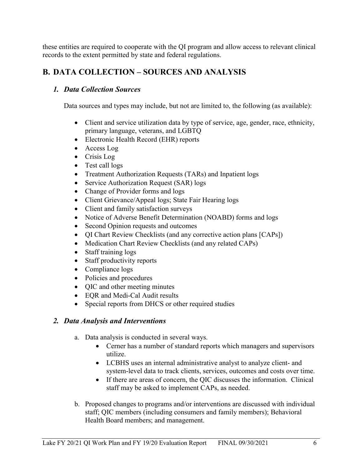these entities are required to cooperate with the QI program and allow access to relevant clinical records to the extent permitted by state and federal regulations.

#### **B. DATA COLLECTION – SOURCES AND ANALYSIS**

#### *1. Data Collection Sources*

Data sources and types may include, but not are limited to, the following (as available):

- Client and service utilization data by type of service, age, gender, race, ethnicity, primary language, veterans, and LGBTQ
- Electronic Health Record (EHR) reports
- Access Log
- Crisis Log
- Test call logs
- Treatment Authorization Requests (TARs) and Inpatient logs
- Service Authorization Request (SAR) logs
- Change of Provider forms and logs
- Client Grievance/Appeal logs; State Fair Hearing logs
- Client and family satisfaction surveys
- Notice of Adverse Benefit Determination (NOABD) forms and logs
- Second Opinion requests and outcomes
- QI Chart Review Checklists (and any corrective action plans [CAPs])
- Medication Chart Review Checklists (and any related CAPs)
- Staff training logs
- Staff productivity reports
- Compliance logs
- Policies and procedures
- QIC and other meeting minutes
- EQR and Medi-Cal Audit results
- Special reports from DHCS or other required studies

#### *2. Data Analysis and Interventions*

- a. Data analysis is conducted in several ways.
	- Cerner has a number of standard reports which managers and supervisors utilize.
	- LCBHS uses an internal administrative analyst to analyze client- and system-level data to track clients, services, outcomes and costs over time.
	- If there are areas of concern, the QIC discusses the information. Clinical staff may be asked to implement CAPs, as needed.
- b. Proposed changes to programs and/or interventions are discussed with individual staff; QIC members (including consumers and family members); Behavioral Health Board members; and management.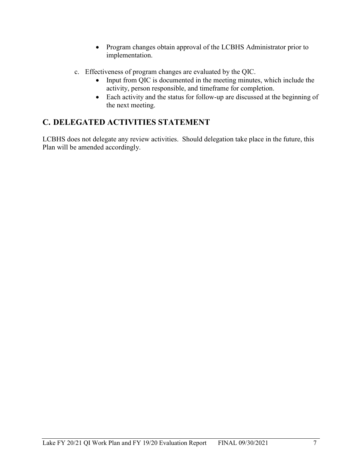- Program changes obtain approval of the LCBHS Administrator prior to implementation.
- c. Effectiveness of program changes are evaluated by the QIC.
	- Input from QIC is documented in the meeting minutes, which include the activity, person responsible, and timeframe for completion.
	- Each activity and the status for follow-up are discussed at the beginning of the next meeting.

## **C. DELEGATED ACTIVITIES STATEMENT**

LCBHS does not delegate any review activities. Should delegation take place in the future, this Plan will be amended accordingly.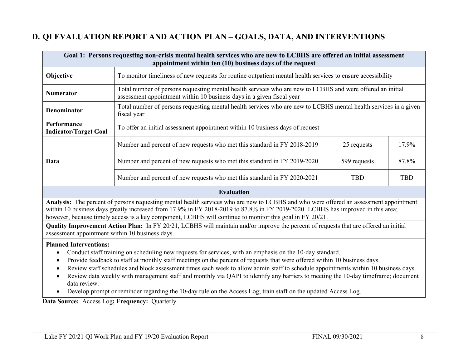### **D. QI EVALUATION REPORT AND ACTION PLAN – GOALS, DATA, AND INTERVENTIONS**

| Goal 1: Persons requesting non-crisis mental health services who are new to LCBHS are offered an initial assessment<br>appointment within ten (10) business days of the request                                                                                                                                                                                                                              |                                                                                                                                                                                     |              |            |
|--------------------------------------------------------------------------------------------------------------------------------------------------------------------------------------------------------------------------------------------------------------------------------------------------------------------------------------------------------------------------------------------------------------|-------------------------------------------------------------------------------------------------------------------------------------------------------------------------------------|--------------|------------|
| Objective                                                                                                                                                                                                                                                                                                                                                                                                    | To monitor timeliness of new requests for routine outpatient mental health services to ensure accessibility                                                                         |              |            |
| <b>Numerator</b>                                                                                                                                                                                                                                                                                                                                                                                             | Total number of persons requesting mental health services who are new to LCBHS and were offered an initial<br>assessment appointment within 10 business days in a given fiscal year |              |            |
| <b>Denominator</b>                                                                                                                                                                                                                                                                                                                                                                                           | Total number of persons requesting mental health services who are new to LCBHS mental health services in a given<br>fiscal year                                                     |              |            |
| Performance<br><b>Indicator/Target Goal</b>                                                                                                                                                                                                                                                                                                                                                                  | To offer an initial assessment appointment within 10 business days of request                                                                                                       |              |            |
|                                                                                                                                                                                                                                                                                                                                                                                                              | Number and percent of new requests who met this standard in FY 2018-2019                                                                                                            | 25 requests  | 17.9%      |
| Data                                                                                                                                                                                                                                                                                                                                                                                                         | Number and percent of new requests who met this standard in FY 2019-2020                                                                                                            | 599 requests | 87.8%      |
|                                                                                                                                                                                                                                                                                                                                                                                                              | Number and percent of new requests who met this standard in FY 2020-2021                                                                                                            | <b>TBD</b>   | <b>TBD</b> |
| <b>Evaluation</b>                                                                                                                                                                                                                                                                                                                                                                                            |                                                                                                                                                                                     |              |            |
| Analysis: The percent of persons requesting mental health services who are new to LCBHS and who were offered an assessment appointment<br>within 10 business days greatly increased from 17.9% in FY 2018-2019 to 87.8% in FY 2019-2020. LCBHS has improved in this area;<br>however, because timely access is a key component, LCBHS will continue to monitor this goal in FY 20/21.                        |                                                                                                                                                                                     |              |            |
| Quality Improvement Action Plan: In FY 20/21, LCBHS will maintain and/or improve the percent of requests that are offered an initial<br>assessment appointment within 10 business days.                                                                                                                                                                                                                      |                                                                                                                                                                                     |              |            |
| <b>Planned Interventions:</b><br>Conduct staff training on scheduling new requests for services, with an emphasis on the 10-day standard.<br>Provide feedback to staff at monthly staff meetings on the percent of requests that were offered within 10 business days.<br>Review staff schedules and block assessment times each week to allow admin staff to schedule appointments within 10 business days. |                                                                                                                                                                                     |              |            |

- Review data weekly with management staff and monthly via QAPI to identify any barriers to meeting the 10-day timeframe; document data review.
- Develop prompt or reminder regarding the 10-day rule on the Access Log; train staff on the updated Access Log.

**Data Source:** Access Log**; Frequency:** Quarterly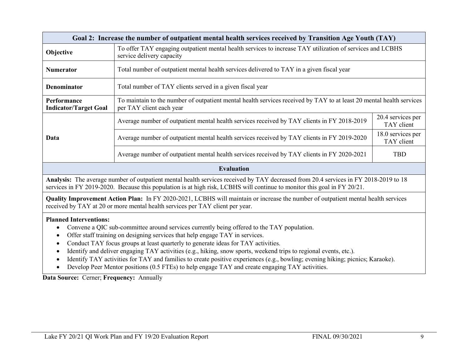| Goal 2: Increase the number of outpatient mental health services received by Transition Age Youth (TAY)                                                                                                                                                                                                                                                                                                               |                                                                                                                                        |                                 |  |  |
|-----------------------------------------------------------------------------------------------------------------------------------------------------------------------------------------------------------------------------------------------------------------------------------------------------------------------------------------------------------------------------------------------------------------------|----------------------------------------------------------------------------------------------------------------------------------------|---------------------------------|--|--|
| Objective                                                                                                                                                                                                                                                                                                                                                                                                             | To offer TAY engaging outpatient mental health services to increase TAY utilization of services and LCBHS<br>service delivery capacity |                                 |  |  |
| <b>Numerator</b>                                                                                                                                                                                                                                                                                                                                                                                                      | Total number of outpatient mental health services delivered to TAY in a given fiscal year                                              |                                 |  |  |
| Total number of TAY clients served in a given fiscal year<br>Denominator                                                                                                                                                                                                                                                                                                                                              |                                                                                                                                        |                                 |  |  |
| To maintain to the number of outpatient mental health services received by TAY to at least 20 mental health services<br>Performance<br><b>Indicator/Target Goal</b><br>per TAY client each year                                                                                                                                                                                                                       |                                                                                                                                        |                                 |  |  |
|                                                                                                                                                                                                                                                                                                                                                                                                                       | Average number of outpatient mental health services received by TAY clients in FY 2018-2019                                            | 20.4 services per<br>TAY client |  |  |
| Data                                                                                                                                                                                                                                                                                                                                                                                                                  | Average number of outpatient mental health services received by TAY clients in FY 2019-2020                                            | 18.0 services per<br>TAY client |  |  |
|                                                                                                                                                                                                                                                                                                                                                                                                                       | Average number of outpatient mental health services received by TAY clients in FY 2020-2021                                            | <b>TBD</b>                      |  |  |
| <b>Evaluation</b>                                                                                                                                                                                                                                                                                                                                                                                                     |                                                                                                                                        |                                 |  |  |
| Analysis: The average number of outpatient mental health services received by TAY decreased from 20.4 services in FY 2018-2019 to 18<br>services in FY 2019-2020. Because this population is at high risk, LCBHS will continue to monitor this goal in FY 20/21.                                                                                                                                                      |                                                                                                                                        |                                 |  |  |
| Quality Improvement Action Plan: In FY 2020-2021, LCBHS will maintain or increase the number of outpatient mental health services<br>received by TAY at 20 or more mental health services per TAY client per year.                                                                                                                                                                                                    |                                                                                                                                        |                                 |  |  |
| <b>Planned Interventions:</b><br>Convene a QIC sub-committee around services currently being offered to the TAY population.<br>Offer staff training on designing services that help engage TAY in services.<br>Conduct TAY focus groups at least quarterly to generate ideas for TAY activities.<br>Identify and deliver engaging TAY activities (e.g., hiking, snow sports, weekend trips to regional events, etc.). |                                                                                                                                        |                                 |  |  |

- Identify TAY activities for TAY and families to create positive experiences (e.g., bowling; evening hiking; picnics; Karaoke).
- Develop Peer Mentor positions (0.5 FTEs) to help engage TAY and create engaging TAY activities.

**Data Source:** Cerner; **Frequency:** Annually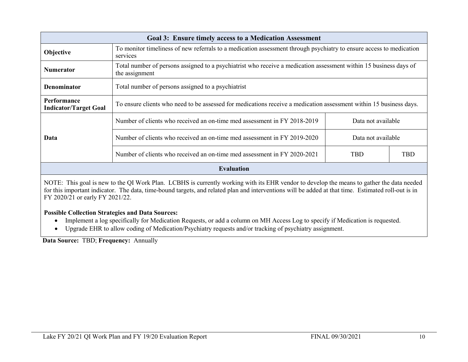| <b>Goal 3: Ensure timely access to a Medication Assessment</b>                                                                                          |                                                                                                                                 |                    |            |  |
|---------------------------------------------------------------------------------------------------------------------------------------------------------|---------------------------------------------------------------------------------------------------------------------------------|--------------------|------------|--|
| Objective                                                                                                                                               | To monitor timeliness of new referrals to a medication assessment through psychiatry to ensure access to medication<br>services |                    |            |  |
| Total number of persons assigned to a psychiatrist who receive a medication assessment within 15 business days of<br><b>Numerator</b><br>the assignment |                                                                                                                                 |                    |            |  |
| Total number of persons assigned to a psychiatrist<br><b>Denominator</b>                                                                                |                                                                                                                                 |                    |            |  |
| Performance<br><b>Indicator/Target Goal</b>                                                                                                             | To ensure clients who need to be assessed for medications receive a medication assessment within 15 business days.              |                    |            |  |
|                                                                                                                                                         | Number of clients who received an on-time med assessment in FY 2018-2019                                                        | Data not available |            |  |
| Data                                                                                                                                                    | Number of clients who received an on-time med assessment in FY 2019-2020                                                        | Data not available |            |  |
|                                                                                                                                                         | Number of clients who received an on-time med assessment in FY 2020-2021                                                        | <b>TBD</b>         | <b>TBD</b> |  |
| <b>Evaluation</b>                                                                                                                                       |                                                                                                                                 |                    |            |  |
| NOTE: This goal is new to the OI Work Plan I CRHS is currently working with its FHR vendor to develop the means to gather the data needed               |                                                                                                                                 |                    |            |  |

NOTE: This goal is new to the QI Work Plan. LCBHS is currently working with its EHR vendor to develop the means to gather the data needed for this important indicator. The data, time-bound targets, and related plan and interventions will be added at that time. Estimated roll-out is in FY 2020/21 or early FY 2021/22.

#### **Possible Collection Strategies and Data Sources:**

- Implement a log specifically for Medication Requests, or add a column on MH Access Log to specify if Medication is requested.
- Upgrade EHR to allow coding of Medication/Psychiatry requests and/or tracking of psychiatry assignment.

**Data Source:** TBD; **Frequency:** Annually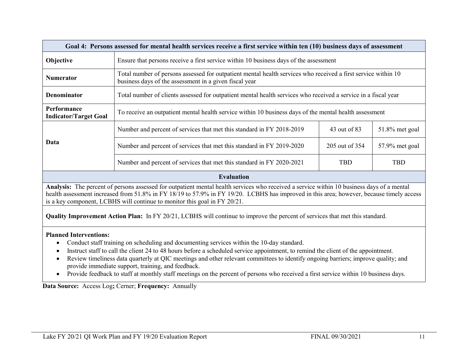| Goal 4: Persons assessed for mental health services receive a first service within ten (10) business days of assessment                                                                                                                                                                                                                                             |                                                                                                                                                                         |                |                   |
|---------------------------------------------------------------------------------------------------------------------------------------------------------------------------------------------------------------------------------------------------------------------------------------------------------------------------------------------------------------------|-------------------------------------------------------------------------------------------------------------------------------------------------------------------------|----------------|-------------------|
| <b>Objective</b>                                                                                                                                                                                                                                                                                                                                                    | Ensure that persons receive a first service within 10 business days of the assessment                                                                                   |                |                   |
| <b>Numerator</b>                                                                                                                                                                                                                                                                                                                                                    | Total number of persons assessed for outpatient mental health services who received a first service within 10<br>business days of the assessment in a given fiscal year |                |                   |
| <b>Denominator</b>                                                                                                                                                                                                                                                                                                                                                  | Total number of clients assessed for outpatient mental health services who received a service in a fiscal year                                                          |                |                   |
| Performance<br><b>Indicator/Target Goal</b>                                                                                                                                                                                                                                                                                                                         | To receive an outpatient mental health service within 10 business days of the mental health assessment                                                                  |                |                   |
|                                                                                                                                                                                                                                                                                                                                                                     | Number and percent of services that met this standard in FY 2018-2019                                                                                                   | 43 out of 83   | $51.8\%$ met goal |
| Data                                                                                                                                                                                                                                                                                                                                                                | Number and percent of services that met this standard in FY 2019-2020                                                                                                   | 205 out of 354 | 57.9% met goal    |
|                                                                                                                                                                                                                                                                                                                                                                     | Number and percent of services that met this standard in FY 2020-2021                                                                                                   | <b>TBD</b>     | <b>TBD</b>        |
|                                                                                                                                                                                                                                                                                                                                                                     | <b>Evaluation</b>                                                                                                                                                       |                |                   |
| Analysis: The percent of persons assessed for outpatient mental health services who received a service within 10 business days of a mental<br>health assessment increased from 51.8% in FY 18/19 to 57.9% in FY 19/20. LCBHS has improved in this area; however, because timely access<br>is a key component, LCBHS will continue to monitor this goal in FY 20/21. |                                                                                                                                                                         |                |                   |
| <b>Quality Improvement Action Plan:</b> In FY 20/21, LCBHS will continue to improve the percent of services that met this standard.                                                                                                                                                                                                                                 |                                                                                                                                                                         |                |                   |
| <b>Planned Interventions:</b>                                                                                                                                                                                                                                                                                                                                       |                                                                                                                                                                         |                |                   |

- Conduct staff training on scheduling and documenting services within the 10-day standard.
- Instruct staff to call the client 24 to 48 hours before a scheduled service appointment, to remind the client of the appointment.
- Review timeliness data quarterly at QIC meetings and other relevant committees to identify ongoing barriers; improve quality; and provide immediate support, training, and feedback.
- Provide feedback to staff at monthly staff meetings on the percent of persons who received a first service within 10 business days.

**Data Source:** Access Log**;** Cerner; **Frequency:** Annually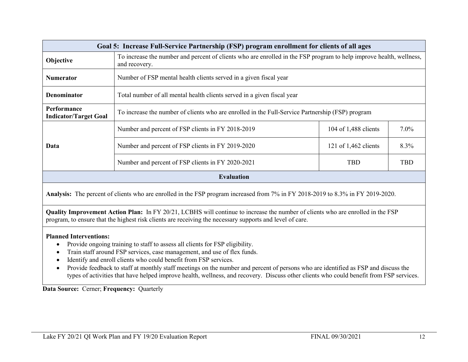| Goal 5: Increase Full-Service Partnership (FSP) program enrollment for clients of all ages                                                                                                                                                                                                                                                                                                                                                                                                                                                                  |                                                                                                                                      |                      |            |
|-------------------------------------------------------------------------------------------------------------------------------------------------------------------------------------------------------------------------------------------------------------------------------------------------------------------------------------------------------------------------------------------------------------------------------------------------------------------------------------------------------------------------------------------------------------|--------------------------------------------------------------------------------------------------------------------------------------|----------------------|------------|
| Objective                                                                                                                                                                                                                                                                                                                                                                                                                                                                                                                                                   | To increase the number and percent of clients who are enrolled in the FSP program to help improve health, wellness,<br>and recovery. |                      |            |
| <b>Numerator</b>                                                                                                                                                                                                                                                                                                                                                                                                                                                                                                                                            | Number of FSP mental health clients served in a given fiscal year                                                                    |                      |            |
| <b>Denominator</b>                                                                                                                                                                                                                                                                                                                                                                                                                                                                                                                                          | Total number of all mental health clients served in a given fiscal year                                                              |                      |            |
| Performance<br>To increase the number of clients who are enrolled in the Full-Service Partnership (FSP) program<br><b>Indicator/Target Goal</b>                                                                                                                                                                                                                                                                                                                                                                                                             |                                                                                                                                      |                      |            |
|                                                                                                                                                                                                                                                                                                                                                                                                                                                                                                                                                             | Number and percent of FSP clients in FY 2018-2019                                                                                    | 104 of 1,488 clients | 7.0%       |
| Data                                                                                                                                                                                                                                                                                                                                                                                                                                                                                                                                                        | Number and percent of FSP clients in FY 2019-2020                                                                                    | 121 of 1,462 clients | 8.3%       |
|                                                                                                                                                                                                                                                                                                                                                                                                                                                                                                                                                             | Number and percent of FSP clients in FY 2020-2021                                                                                    | <b>TBD</b>           | <b>TBD</b> |
| <b>Evaluation</b>                                                                                                                                                                                                                                                                                                                                                                                                                                                                                                                                           |                                                                                                                                      |                      |            |
| Analysis: The percent of clients who are enrolled in the FSP program increased from 7% in FY 2018-2019 to 8.3% in FY 2019-2020.                                                                                                                                                                                                                                                                                                                                                                                                                             |                                                                                                                                      |                      |            |
| Quality Improvement Action Plan: In FY 20/21, LCBHS will continue to increase the number of clients who are enrolled in the FSP<br>program, to ensure that the highest risk clients are receiving the necessary supports and level of care.                                                                                                                                                                                                                                                                                                                 |                                                                                                                                      |                      |            |
| <b>Planned Interventions:</b><br>Provide ongoing training to staff to assess all clients for FSP eligibility.<br>$\bullet$<br>Train staff around FSP services, case management, and use of flex funds.<br>Identify and enroll clients who could benefit from FSP services.<br>Provide feedback to staff at monthly staff meetings on the number and percent of persons who are identified as FSP and discuss the<br>types of activities that have helped improve health, wellness, and recovery. Discuss other clients who could benefit from FSP services. |                                                                                                                                      |                      |            |

**Data Source:** Cerner; **Frequency:** Quarterly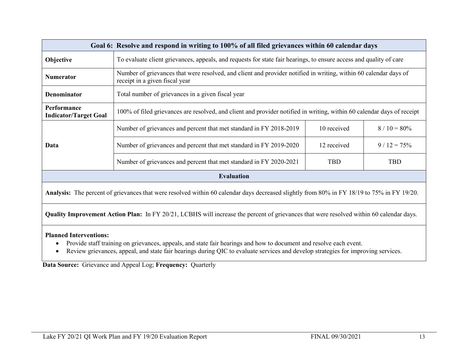| Goal 6: Resolve and respond in writing to 100% of all filed grievances within 60 calendar days                                                                   |                                                                                                                                                    |             |               |
|------------------------------------------------------------------------------------------------------------------------------------------------------------------|----------------------------------------------------------------------------------------------------------------------------------------------------|-------------|---------------|
| Objective                                                                                                                                                        | To evaluate client grievances, appeals, and requests for state fair hearings, to ensure access and quality of care                                 |             |               |
| <b>Numerator</b>                                                                                                                                                 | Number of grievances that were resolved, and client and provider notified in writing, within 60 calendar days of<br>receipt in a given fiscal year |             |               |
| Denominator                                                                                                                                                      | Total number of grievances in a given fiscal year                                                                                                  |             |               |
| Performance<br><b>Indicator/Target Goal</b>                                                                                                                      | 100% of filed grievances are resolved, and client and provider notified in writing, within 60 calendar days of receipt                             |             |               |
|                                                                                                                                                                  | Number of grievances and percent that met standard in FY 2018-2019                                                                                 | 10 received | $8/10 = 80\%$ |
| Data                                                                                                                                                             | Number of grievances and percent that met standard in FY 2019-2020                                                                                 | 12 received | $9/12 = 75%$  |
|                                                                                                                                                                  | Number of grievances and percent that met standard in FY 2020-2021                                                                                 | <b>TBD</b>  | TBD           |
| <b>Evaluation</b>                                                                                                                                                |                                                                                                                                                    |             |               |
| Analysis: The percent of grievances that were resolved within 60 calendar days decreased slightly from 80% in FY 18/19 to 75% in FY 19/20.                       |                                                                                                                                                    |             |               |
| <b>Quality Improvement Action Plan:</b> In FY 20/21, LCBHS will increase the percent of grievances that were resolved within 60 calendar days.                   |                                                                                                                                                    |             |               |
| <b>Planned Interventions:</b><br>Provide staff training on grievances, appeals, and state fair hearings and how to document and resolve each event.<br>$\bullet$ |                                                                                                                                                    |             |               |

• Review grievances, appeal, and state fair hearings during QIC to evaluate services and develop strategies for improving services.

**Data Source:** Grievance and Appeal Log; **Frequency:** Quarterly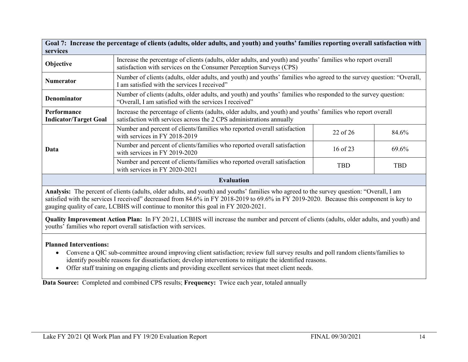| Goal 7: Increase the percentage of clients (adults, older adults, and youth) and youths' families reporting overall satisfaction with<br>services                                                                                                                                    |                                                                                                                                                                                      |          |       |
|--------------------------------------------------------------------------------------------------------------------------------------------------------------------------------------------------------------------------------------------------------------------------------------|--------------------------------------------------------------------------------------------------------------------------------------------------------------------------------------|----------|-------|
| Objective                                                                                                                                                                                                                                                                            | Increase the percentage of clients (adults, older adults, and youth) and youths' families who report overall<br>satisfaction with services on the Consumer Perception Surveys (CPS)  |          |       |
| <b>Numerator</b>                                                                                                                                                                                                                                                                     | Number of clients (adults, older adults, and youth) and youths' families who agreed to the survey question: "Overall,<br>I am satisfied with the services I received"                |          |       |
| <b>Denominator</b>                                                                                                                                                                                                                                                                   | Number of clients (adults, older adults, and youth) and youths' families who responded to the survey question:<br>"Overall, I am satisfied with the services I received"             |          |       |
| Performance<br><b>Indicator/Target Goal</b>                                                                                                                                                                                                                                          | Increase the percentage of clients (adults, older adults, and youth) and youths' families who report overall<br>satisfaction with services across the 2 CPS administrations annually |          |       |
|                                                                                                                                                                                                                                                                                      | Number and percent of clients/families who reported overall satisfaction<br>with services in FY 2018-2019                                                                            | 22 of 26 | 84.6% |
| Data                                                                                                                                                                                                                                                                                 | Number and percent of clients/families who reported overall satisfaction<br>with services in FY 2019-2020                                                                            | 16 of 23 | 69.6% |
|                                                                                                                                                                                                                                                                                      | Number and percent of clients/families who reported overall satisfaction<br>with services in FY 2020-2021                                                                            | TBD      | TBD   |
| <b>Evaluation</b>                                                                                                                                                                                                                                                                    |                                                                                                                                                                                      |          |       |
| Analysis: The percent of clients (adults, older adults, and youth) and youths' families who agreed to the survey question: "Overall, I am<br>satisfied with the services I received" decreased from 84.6% in FY 2018-2019 to 69.6% in FY 2019-2020. Because this component is key to |                                                                                                                                                                                      |          |       |

gauging quality of care, LCBHS will continue to monitor this goal in FY 2020-2021.

**Quality Improvement Action Plan:** In FY 20/21, LCBHS will increase the number and percent of clients (adults, older adults, and youth) and youths' families who report overall satisfaction with services.

#### **Planned Interventions:**

- Convene a QIC sub-committee around improving client satisfaction; review full survey results and poll random clients/families to identify possible reasons for dissatisfaction; develop interventions to mitigate the identified reasons.
- Offer staff training on engaging clients and providing excellent services that meet client needs.

**Data Source:** Completed and combined CPS results; **Frequency:** Twice each year, totaled annually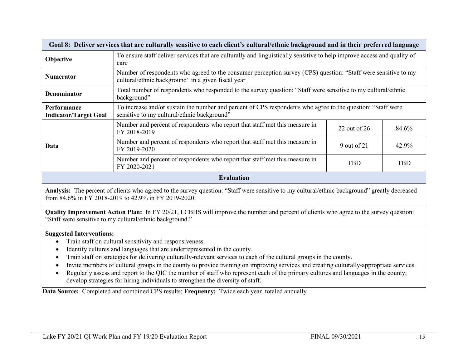| Goal 8: Deliver services that are culturally sensitive to each client's cultural/ethnic background and in their preferred language            |                                                                                                                                                                      |                |            |
|-----------------------------------------------------------------------------------------------------------------------------------------------|----------------------------------------------------------------------------------------------------------------------------------------------------------------------|----------------|------------|
| Objective                                                                                                                                     | To ensure staff deliver services that are culturally and linguistically sensitive to help improve access and quality of<br>care                                      |                |            |
| <b>Numerator</b>                                                                                                                              | Number of respondents who agreed to the consumer perception survey (CPS) question: "Staff were sensitive to my<br>cultural/ethnic background" in a given fiscal year |                |            |
| Denominator                                                                                                                                   | Total number of respondents who responded to the survey question: "Staff were sensitive to my cultural/ethnic<br>background"                                         |                |            |
| <b>Performance</b><br><b>Indicator/Target Goal</b>                                                                                            | To increase and/or sustain the number and percent of CPS respondents who agree to the question: "Staff were<br>sensitive to my cultural/ethnic background"           |                |            |
|                                                                                                                                               | Number and percent of respondents who report that staff met this measure in<br>FY 2018-2019                                                                          | 22 out of $26$ | 84.6%      |
| Data                                                                                                                                          | Number and percent of respondents who report that staff met this measure in<br>FY 2019-2020                                                                          | 9 out of 21    | 42.9%      |
|                                                                                                                                               | Number and percent of respondents who report that staff met this measure in<br>FY 2020-2021                                                                          | TBD            | <b>TBD</b> |
| <b>Evaluation</b>                                                                                                                             |                                                                                                                                                                      |                |            |
| Analysis: The percent of clients who agreed to the survey question: "Staff were sensitive to my cultural/ethnic background" greatly decreased |                                                                                                                                                                      |                |            |

from 84.6% in FY 2018-2019 to 42.9% in FY 2019-2020.

**Quality Improvement Action Plan:** In FY 20/21, LCBHS will improve the number and percent of clients who agree to the survey question: "Staff were sensitive to my cultural/ethnic background."

#### **Suggested Interventions:**

- Train staff on cultural sensitivity and responsiveness.
- Identify cultures and languages that are underrepresented in the county.
- Train staff on strategies for delivering culturally-relevant services to each of the cultural groups in the county.
- Invite members of cultural groups in the county to provide training on improving services and creating culturally-appropriate services.
- Regularly assess and report to the QIC the number of staff who represent each of the primary cultures and languages in the county; develop strategies for hiring individuals to strengthen the diversity of staff.

**Data Source:** Completed and combined CPS results; **Frequency:** Twice each year, totaled annually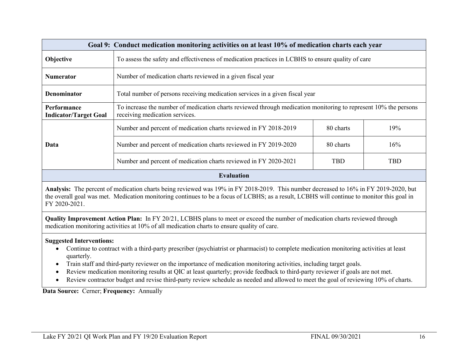| Goal 9: Conduct medication monitoring activities on at least 10% of medication charts each year                                                                                                                                                                                                     |                                                                                                   |            |            |
|-----------------------------------------------------------------------------------------------------------------------------------------------------------------------------------------------------------------------------------------------------------------------------------------------------|---------------------------------------------------------------------------------------------------|------------|------------|
| Objective                                                                                                                                                                                                                                                                                           | To assess the safety and effectiveness of medication practices in LCBHS to ensure quality of care |            |            |
| <b>Numerator</b>                                                                                                                                                                                                                                                                                    | Number of medication charts reviewed in a given fiscal year                                       |            |            |
| Denominator                                                                                                                                                                                                                                                                                         | Total number of persons receiving medication services in a given fiscal year                      |            |            |
| To increase the number of medication charts reviewed through medication monitoring to represent 10% the persons<br>Performance<br><b>Indicator/Target Goal</b><br>receiving medication services.                                                                                                    |                                                                                                   |            |            |
|                                                                                                                                                                                                                                                                                                     | Number and percent of medication charts reviewed in FY 2018-2019                                  | 80 charts  | 19%        |
| Data                                                                                                                                                                                                                                                                                                | Number and percent of medication charts reviewed in FY 2019-2020                                  | 80 charts  | 16%        |
|                                                                                                                                                                                                                                                                                                     | Number and percent of medication charts reviewed in FY 2020-2021                                  | <b>TBD</b> | <b>TBD</b> |
| <b>Evaluation</b>                                                                                                                                                                                                                                                                                   |                                                                                                   |            |            |
| Analysis: The percent of medication charts being reviewed was 19% in FY 2018-2019. This number decreased to 16% in FY 2019-2020, but<br>the overall goal was met. Medication monitoring continues to be a focus of LCBHS; as a result, LCBHS will continue to monitor this goal in<br>FY 2020-2021. |                                                                                                   |            |            |
| Quality Improvement Action Plan: In FY 20/21, LCBHS plans to meet or exceed the number of medication charts reviewed through                                                                                                                                                                        |                                                                                                   |            |            |

**Suggested Interventions:**

- Continue to contract with a third-party prescriber (psychiatrist or pharmacist) to complete medication monitoring activities at least quarterly.
- Train staff and third-party reviewer on the importance of medication monitoring activities, including target goals.

medication monitoring activities at 10% of all medication charts to ensure quality of care.

- Review medication monitoring results at QIC at least quarterly; provide feedback to third-party reviewer if goals are not met.
- Review contractor budget and revise third-party review schedule as needed and allowed to meet the goal of reviewing 10% of charts.

**Data Source:** Cerner; **Frequency:** Annually